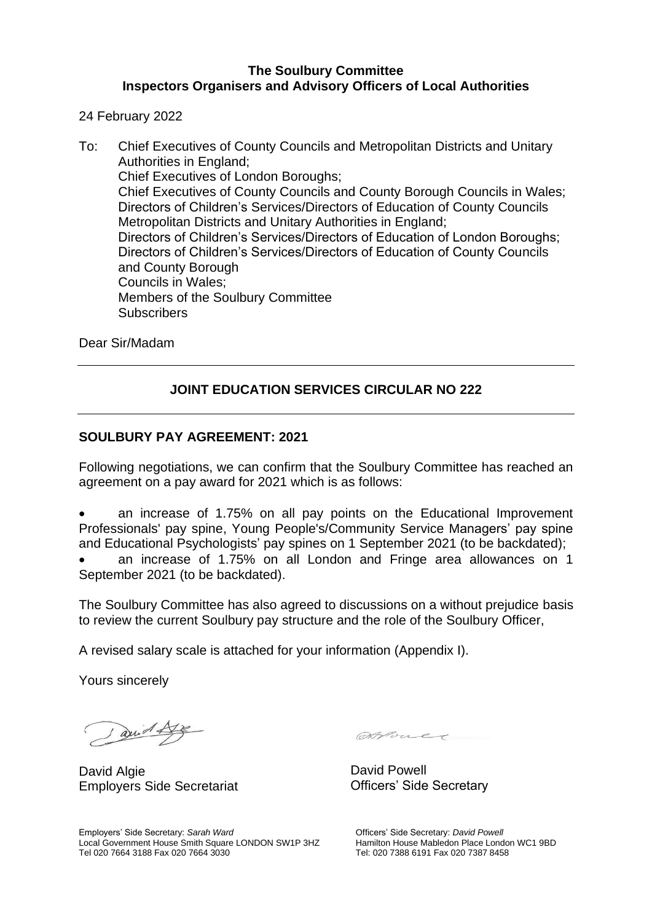#### **The Soulbury Committee Inspectors Organisers and Advisory Officers of Local Authorities**

24 February 2022

To: Chief Executives of County Councils and Metropolitan Districts and Unitary Authorities in England; Chief Executives of London Boroughs; Chief Executives of County Councils and County Borough Councils in Wales; Directors of Children's Services/Directors of Education of County Councils Metropolitan Districts and Unitary Authorities in England; Directors of Children's Services/Directors of Education of London Boroughs; Directors of Children's Services/Directors of Education of County Councils and County Borough Councils in Wales; Members of the Soulbury Committee **Subscribers** 

Dear Sir/Madam

### **JOINT EDUCATION SERVICES CIRCULAR NO 222**

#### **SOULBURY PAY AGREEMENT: 2021**

Following negotiations, we can confirm that the Soulbury Committee has reached an agreement on a pay award for 2021 which is as follows:

• an increase of 1.75% on all pay points on the Educational Improvement Professionals' pay spine, Young People's/Community Service Managers' pay spine and Educational Psychologists' pay spines on 1 September 2021 (to be backdated);

• an increase of 1.75% on all London and Fringe area allowances on 1 September 2021 (to be backdated).

The Soulbury Committee has also agreed to discussions on a without prejudice basis to review the current Soulbury pay structure and the role of the Soulbury Officer,

A revised salary scale is attached for your information (Appendix I).

Yours sincerely

aud Lye

David Algie Employers Side Secretariat

Atout

David Powell Officers' Side Secretary

Employers' Side Secretary: *Sarah Ward* Local Government House Smith Square LONDON SW1P 3HZ Tel 020 7664 3188 Fax 020 7664 3030

Officers' Side Secretary: *David Powell* Hamilton House Mabledon Place London WC1 9BD Tel: 020 7388 6191 Fax 020 7387 8458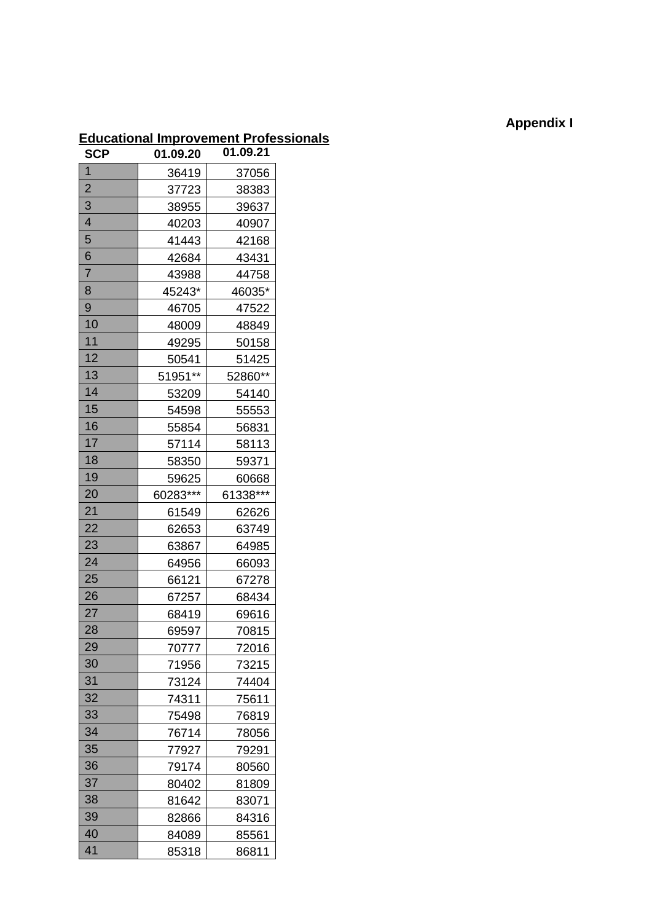# **Appendix I**

# **Educational Improvement Professionals**

| <b>SCP</b>               | 01.09.20 | 01.09.21 |
|--------------------------|----------|----------|
| 1                        | 36419    | 37056    |
| $\overline{2}$           | 37723    | 38383    |
| 3                        | 38955    | 39637    |
| $\overline{\mathcal{A}}$ | 40203    | 40907    |
| 5                        | 41443    | 42168    |
| 6                        | 42684    | 43431    |
| $\overline{7}$           | 43988    | 44758    |
| 8                        | 45243*   | 46035*   |
| 9                        | 46705    | 47522    |
| 10                       | 48009    | 48849    |
| 11                       | 49295    | 50158    |
| 12                       | 50541    | 51425    |
| 13                       | 51951**  | 52860**  |
| 14                       | 53209    | 54140    |
| 15                       | 54598    | 55553    |
| 16                       | 55854    | 56831    |
| 17                       | 57114    | 58113    |
| 18                       | 58350    | 59371    |
| 19                       | 59625    | 60668    |
| 20                       | 60283*** | 61338*** |
| 21                       | 61549    | 62626    |
| 22                       | 62653    | 63749    |
| 23                       | 63867    | 64985    |
| 24                       | 64956    | 66093    |
| 25                       | 66121    | 67278    |
| 26                       | 67257    | 68434    |
| 27                       | 68419    | 69616    |
| 28                       | 69597    | 70815    |
| 29                       | 70777    | 72016    |
| 30                       | 71956    | 73215    |
| 31                       | 73124    | 74404    |
| 32                       | 74311    | 75611    |
| 33                       | 75498    | 76819    |
| 34                       | 76714    | 78056    |
| 35                       | 77927    | 79291    |
| 36                       | 79174    | 80560    |
| 37                       | 80402    | 81809    |
| 38                       | 81642    | 83071    |
| 39                       | 82866    | 84316    |
| 40                       | 84089    | 85561    |
| 41                       | 85318    | 86811    |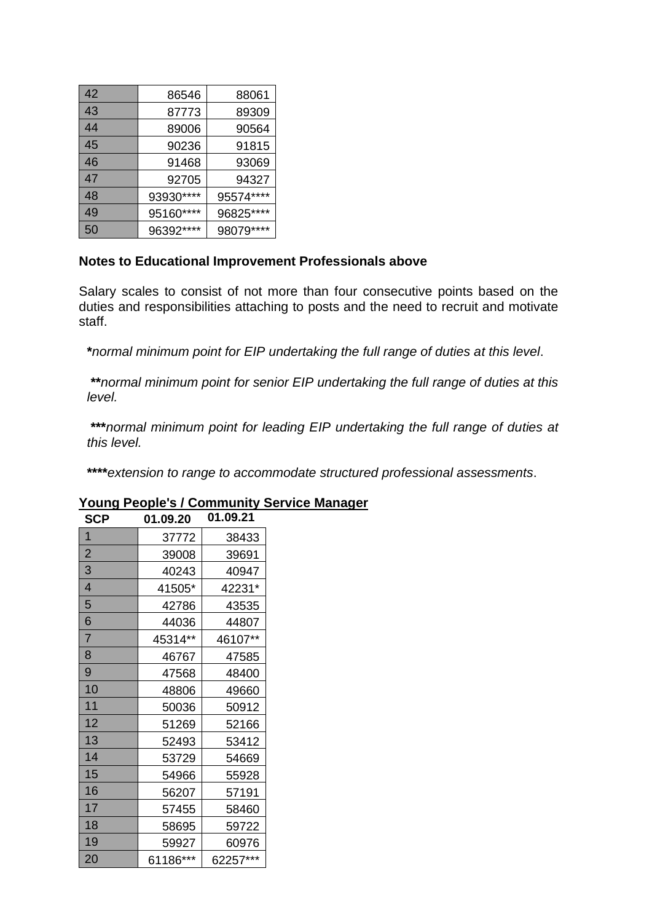| 42 | 86546     | 88061      |
|----|-----------|------------|
| 43 | 87773     | 89309      |
| 44 | 89006     | 90564      |
| 45 | 90236     | 91815      |
| 46 | 91468     | 93069      |
| 47 | 92705     | 94327      |
| 48 | 93930**** | 95574****  |
| 49 | 95160**** | 96825****  |
| 50 | 96392**** | 98079 **** |

## **Notes to Educational Improvement Professionals above**

Salary scales to consist of not more than four consecutive points based on the duties and responsibilities attaching to posts and the need to recruit and motivate staff.

**\****normal minimum point for EIP undertaking the full range of duties at this level*.

**\*\****normal minimum point for senior EIP undertaking the full range of duties at this level.* 

**\*\*\****normal minimum point for leading EIP undertaking the full range of duties at this level.*

**\*\*\*\****extension to range to accommodate structured professional assessments*.

| <b>SCP</b>     | 01.09.20 | 01.09.21 |
|----------------|----------|----------|
| $\overline{1}$ | 37772    | 38433    |
| $\overline{2}$ | 39008    | 39691    |
| 3              | 40243    | 40947    |
| 4              | 41505*   | 42231*   |
| 5              | 42786    | 43535    |
| 6              | 44036    | 44807    |
| $\overline{7}$ | 45314**  | 46107**  |
| 8              | 46767    | 47585    |
| 9              | 47568    | 48400    |
| 10             | 48806    | 49660    |
| 11             | 50036    | 50912    |
| 12             | 51269    | 52166    |
| 13             | 52493    | 53412    |
| 14             | 53729    | 54669    |
| 15             | 54966    | 55928    |
| 16             | 56207    | 57191    |
| 17             | 57455    | 58460    |
| 18             | 58695    | 59722    |
| 19             | 59927    | 60976    |
| 20             | 61186*** | 62257*** |

## **Young People's / Community Service Manager**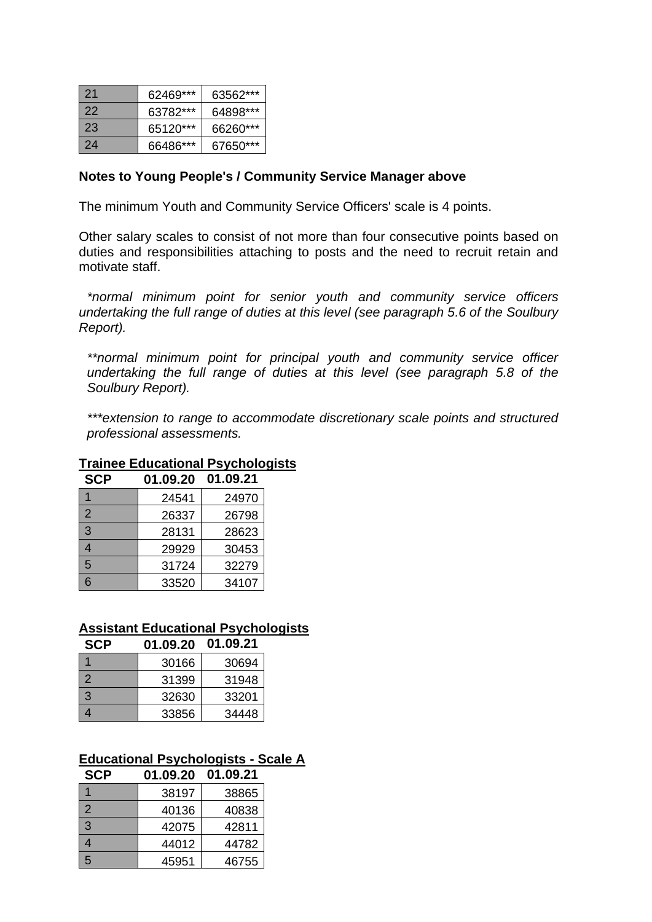| -21 | 62469*** | 63562*** |
|-----|----------|----------|
| 22  | 63782*** | 64898*** |
| 23  | 65120*** | 66260*** |
| 24  | 66486*** | 67650*** |

#### **Notes to Young People's / Community Service Manager above**

The minimum Youth and Community Service Officers' scale is 4 points.

Other salary scales to consist of not more than four consecutive points based on duties and responsibilities attaching to posts and the need to recruit retain and motivate staff.

*\*normal minimum point for senior youth and community service officers undertaking the full range of duties at this level (see paragraph 5.6 of the Soulbury Report).* 

*\*\*normal minimum point for principal youth and community service officer undertaking the full range of duties at this level (see paragraph 5.8 of the Soulbury Report).* 

*\*\*\*extension to range to accommodate discretionary scale points and structured professional assessments.*

### **Trainee Educational Psychologists**

| <b>SCP</b>     | 01.09.20 | 01.09.21 |
|----------------|----------|----------|
|                | 24541    | 24970    |
| $\overline{2}$ | 26337    | 26798    |
| 3              | 28131    | 28623    |
| 4              | 29929    | 30453    |
| 5              | 31724    | 32279    |
| 6              | 33520    | 34107    |

#### **Assistant Educational Psychologists**

| <b>SCP</b>    | 01.09.20 | 01.09.21 |
|---------------|----------|----------|
|               | 30166    | 30694    |
| $\mathcal{P}$ | 31399    | 31948    |
| 3             | 32630    | 33201    |
|               | 33856    | 34448    |

#### **Educational Psychologists - Scale A SCP 01.09.20 01.09.21**

| SCP | U1.UY.ZU | U1.U9.Z1 |
|-----|----------|----------|
|     | 38197    | 38865    |
| 2   | 40136    | 40838    |
| 3   | 42075    | 42811    |
| 4   | 44012    | 44782    |
| 5   | 45951    | 46755    |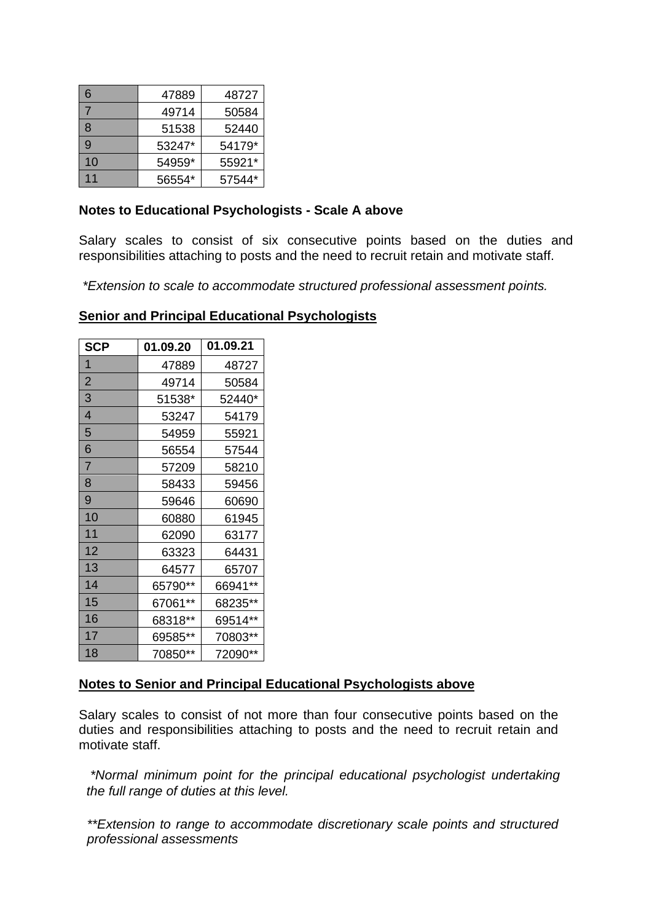| 6            | 47889  | 48727  |
|--------------|--------|--------|
|              | 49714  | 50584  |
| 8            | 51538  | 52440  |
| $\mathbf{Q}$ | 53247* | 54179* |
| 10           | 54959* | 55921* |
| 11           | 56554* | 57544* |

#### **Notes to Educational Psychologists - Scale A above**

Salary scales to consist of six consecutive points based on the duties and responsibilities attaching to posts and the need to recruit retain and motivate staff.

*\*Extension to scale to accommodate structured professional assessment points.* 

### **Senior and Principal Educational Psychologists**

| <b>SCP</b>     | 01.09.20 | 01.09.21 |
|----------------|----------|----------|
| 1              | 47889    | 48727    |
| $\overline{2}$ | 49714    | 50584    |
| 3              | 51538*   | 52440*   |
| 4              | 53247    | 54179    |
| 5              | 54959    | 55921    |
| 6              | 56554    | 57544    |
| $\overline{7}$ | 57209    | 58210    |
| 8              | 58433    | 59456    |
| 9              | 59646    | 60690    |
| 10             | 60880    | 61945    |
| 11             | 62090    | 63177    |
| 12             | 63323    | 64431    |
| 13             | 64577    | 65707    |
| 14             | 65790**  | 66941**  |
| 15             | 67061**  | 68235**  |
| 16             | 68318**  | 69514**  |
| 17             | 69585**  | 70803**  |
| 18             | 70850**  | 72090**  |

#### **Notes to Senior and Principal Educational Psychologists above**

Salary scales to consist of not more than four consecutive points based on the duties and responsibilities attaching to posts and the need to recruit retain and motivate staff.

*\*Normal minimum point for the principal educational psychologist undertaking the full range of duties at this level.* 

*\*\*Extension to range to accommodate discretionary scale points and structured professional assessments*